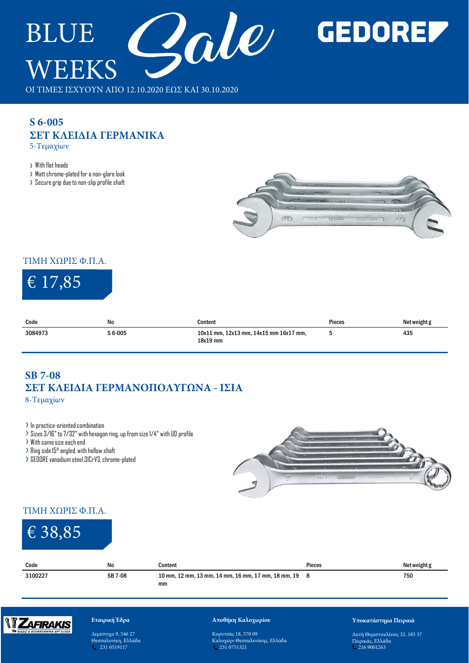

# **GEDOREF**

## **S 6-005 ΣΕΤ ΚΛΕΙΔΙΑ ΓΕΡΜΑΝΙΚΑ** 5-Τεμαχίων

- Matt chrome-plated for a non-glare look
- > Secure grip due to non-slip profile shaft



### ΤΙΜΗ ΧΩΡΙΣ Φ.Π.Α.

# € 17,85

| € 17,85                                                                                                                                          |                                                                                                                              |                                                    |        |              |
|--------------------------------------------------------------------------------------------------------------------------------------------------|------------------------------------------------------------------------------------------------------------------------------|----------------------------------------------------|--------|--------------|
| Code                                                                                                                                             | No                                                                                                                           | Content                                            | Pieces | Net weight g |
| 3084973                                                                                                                                          | S 6-005                                                                                                                      | 10x11 mm, 12x13 mm, 14x15 mm 16x17 mm,<br>18x19 mm | 5      | 435          |
| 8-Τεμαχίων<br>> In practice-oriented combination<br>> With same size each end<br>$\rightarrow$ Ring side 15 $^{\rm o}$ angled, with hollow shaft | > Sizes 3/16" to 7/32" with hexagon ring, up from size 1/4" with UD profile<br>> GEDORE vanadium steel 3ICrV3, chrome-plated | ΣΕΤ ΚΛΕΙΔΙΑ ΓΕΡΜΑΝΟΠΟΛΥΓΩΝΑ - ΙΣΙΑ                 |        |              |

# **SB 7-08 ΣΕΤ ΚΛΕΙΔΙΑ ΓΕΡΜΑΝΟΠΟΛΥΓΩΝΑ - ΙΣΙΑ**

- In practice-oriented combination
- Sizes 3/16" to 7/32" with hexagon ring, up from size 1/4" with UD profile
- With same size each end
- 
- GEDORE vanadium steel 31CrV3, chrome-plated



### ΤΙΜΗ ΧΩΡΙΣ Φ.Π.Α.

| <b>SB 7-08</b><br>8-Τεμαχίων                                                                                                                                                                    |                                                                             | ΣΕΤ ΚΛΕΙΔΙΑ ΓΕΡΜΑΝΟΠΟΛΥΓΩΝΑ - ΙΣΙΑ                          |                |                      |
|-------------------------------------------------------------------------------------------------------------------------------------------------------------------------------------------------|-----------------------------------------------------------------------------|-------------------------------------------------------------|----------------|----------------------|
| $\rightarrow$ In practice-oriented combination<br>> With same size each end<br>$\rightarrow$ Ring side 15 $^{\circ}$ angled, with hollow shaft<br>> GEDORE vanadium steel 31CrV3, chrome-plated | > Sizes 3/16" to 7/32" with hexagon ring, up from size 1/4" with UD profile |                                                             | GEDORE<br>No.7 |                      |
| ΤΙΜΗ ΧΩΡΙΣ Φ.Π.Α.                                                                                                                                                                               |                                                                             |                                                             |                |                      |
| € 38,85                                                                                                                                                                                         |                                                                             |                                                             |                |                      |
| Code                                                                                                                                                                                            | No                                                                          | Content                                                     | Pieces         | Net weight g         |
| 3100227                                                                                                                                                                                         | SB 7-08                                                                     | 10 mm, 12 mm, 13 mm, 14 mm, 16 mm, 17 mm, 18 mm, 19 8<br>mm |                | 750                  |
| Zafirakis                                                                                                                                                                                       | Εταιρική Έδρα                                                               | Αποθήκη Καλοχωρίου                                          |                | Υποκατάστημα Πειραιά |



### **Εταιρική Έδρα**

Δεμέστιχα 9, 546 27 Θεσσαλονίκη, Ελλάδα 4. 231 0519117

### **Αποθήκη Καλοχωρίου**

Κορυτσάς 18, 570 09 Καλοχώρι Θεσσαλονίκης, Ελλάδα 231 0751321

#### **Υποκατάστημα Πειραιά**

Ακτή Θεμιστοκλέους 32, 185 37 Πειραιάς, Ελλάδα 216 9001263